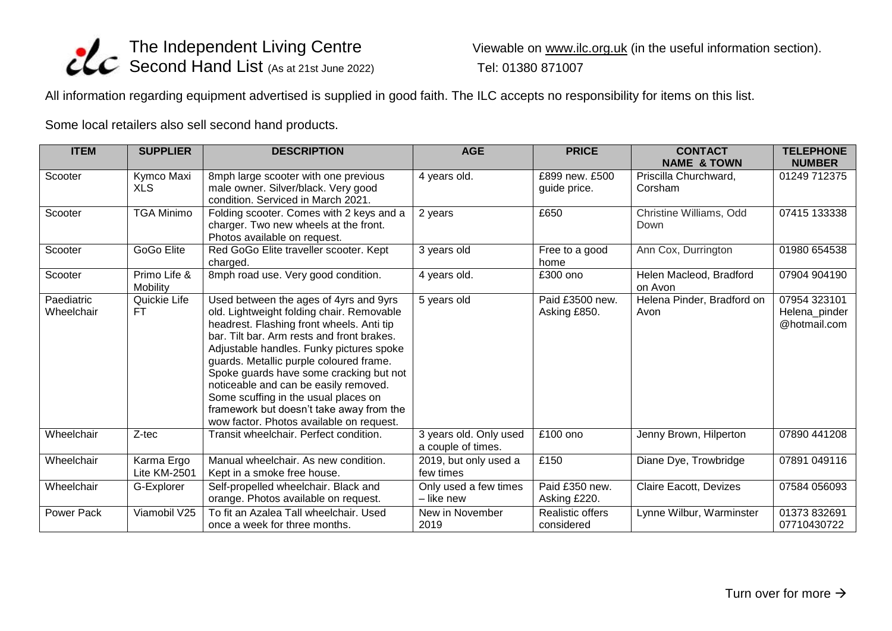

Viewable on [www.ilc.org.uk](http://www.ilc.org.uk/) (in the useful information section).

All information regarding equipment advertised is supplied in good faith. The ILC accepts no responsibility for items on this list.

Some local retailers also sell second hand products.

| <b>ITEM</b>              | <b>SUPPLIER</b>                   | <b>DESCRIPTION</b>                                                                                                                                                                                                                                                                                                                                                                                                                                                                        | <b>AGE</b>                                   | <b>PRICE</b>                          | <b>CONTACT</b><br><b>NAME &amp; TOWN</b> | <b>TELEPHONE</b><br><b>NUMBER</b>             |
|--------------------------|-----------------------------------|-------------------------------------------------------------------------------------------------------------------------------------------------------------------------------------------------------------------------------------------------------------------------------------------------------------------------------------------------------------------------------------------------------------------------------------------------------------------------------------------|----------------------------------------------|---------------------------------------|------------------------------------------|-----------------------------------------------|
| Scooter                  | Kymco Maxi<br><b>XLS</b>          | 8mph large scooter with one previous<br>male owner. Silver/black. Very good<br>condition. Serviced in March 2021.                                                                                                                                                                                                                                                                                                                                                                         | 4 years old.                                 | £899 new. £500<br>guide price.        | Priscilla Churchward,<br>Corsham         | 01249 712375                                  |
| Scooter                  | <b>TGA Minimo</b>                 | Folding scooter. Comes with 2 keys and a<br>charger. Two new wheels at the front.<br>Photos available on request.                                                                                                                                                                                                                                                                                                                                                                         | 2 years                                      | £650                                  | Christine Williams, Odd<br>Down          | 07415 133338                                  |
| Scooter                  | GoGo Elite                        | Red GoGo Elite traveller scooter. Kept<br>charged.                                                                                                                                                                                                                                                                                                                                                                                                                                        | 3 years old                                  | Free to a good<br>home                | Ann Cox, Durrington                      | 01980 654538                                  |
| Scooter                  | Primo Life &<br>Mobility          | 8mph road use. Very good condition.                                                                                                                                                                                                                                                                                                                                                                                                                                                       | 4 years old.                                 | £300 ono                              | Helen Macleod, Bradford<br>on Avon       | 07904 904190                                  |
| Paediatric<br>Wheelchair | Quickie Life<br>FT.               | Used between the ages of 4yrs and 9yrs<br>old. Lightweight folding chair. Removable<br>headrest. Flashing front wheels. Anti tip<br>bar. Tilt bar. Arm rests and front brakes.<br>Adjustable handles. Funky pictures spoke<br>guards. Metallic purple coloured frame.<br>Spoke guards have some cracking but not<br>noticeable and can be easily removed.<br>Some scuffing in the usual places on<br>framework but doesn't take away from the<br>wow factor. Photos available on request. | 5 years old                                  | Paid £3500 new.<br>Asking £850.       | Helena Pinder, Bradford on<br>Avon       | 07954 323101<br>Helena_pinder<br>@hotmail.com |
| Wheelchair               | Z-tec                             | Transit wheelchair. Perfect condition.                                                                                                                                                                                                                                                                                                                                                                                                                                                    | 3 years old. Only used<br>a couple of times. | £100 ono                              | Jenny Brown, Hilperton                   | 07890 441208                                  |
| Wheelchair               | Karma Ergo<br><b>Lite KM-2501</b> | Manual wheelchair. As new condition.<br>Kept in a smoke free house.                                                                                                                                                                                                                                                                                                                                                                                                                       | 2019, but only used a<br>few times           | £150                                  | Diane Dye, Trowbridge                    | 07891 049116                                  |
| Wheelchair               | G-Explorer                        | Self-propelled wheelchair. Black and<br>orange. Photos available on request.                                                                                                                                                                                                                                                                                                                                                                                                              | Only used a few times<br>- like new          | Paid £350 new.<br>Asking £220.        | <b>Claire Eacott, Devizes</b>            | 07584 056093                                  |
| Power Pack               | Viamobil V25                      | To fit an Azalea Tall wheelchair. Used<br>once a week for three months.                                                                                                                                                                                                                                                                                                                                                                                                                   | New in November<br>2019                      | <b>Realistic offers</b><br>considered | Lynne Wilbur, Warminster                 | 01373 832691<br>07710430722                   |